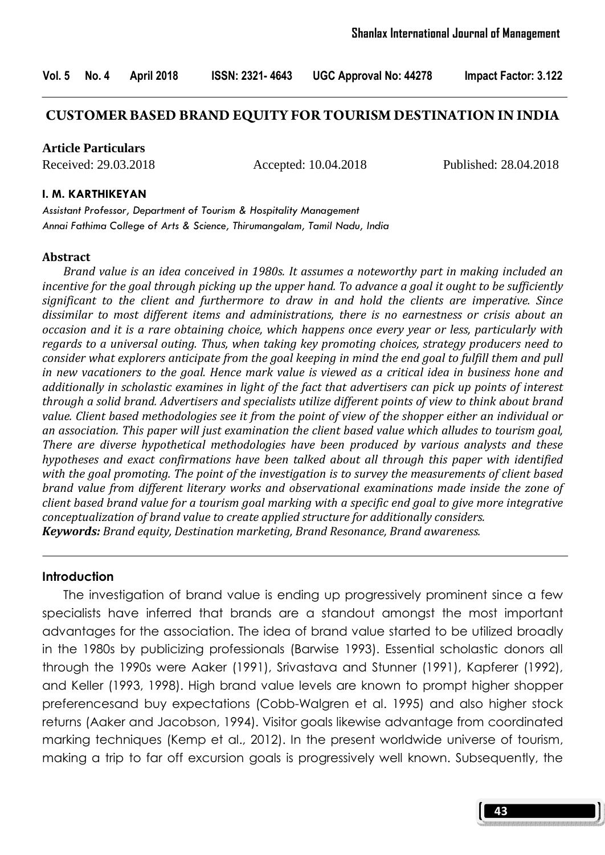## **CUSTOMER BASED BRAND EQUITY FOR TOURISM DESTINATION IN INDIA**

**Article Particulars**

Received: 29.03.2018 Accepted: 10.04.2018 Published: 28.04.2018

#### I. M. KARTHIKEYAN

Assistant Professor, Department of Tourism & Hospitality Management Annai Fathima College of Arts & Science, Thirumangalam, Tamil Nadu, India

#### Abstract

 Brand value is an idea conceived in 1980s. It assumes a noteworthy part in making included an incentive for the goal through picking up the upper hand. To advance a goal it ought to be sufficiently significant to the client and furthermore to draw in and hold the clients are imperative. Since dissimilar to most different items and administrations, there is no earnestness or crisis about an occasion and it is a rare obtaining choice, which happens once every year or less, particularly with regards to a universal outing. Thus, when taking key promoting choices, strategy producers need to consider what explorers anticipate from the goal keeping in mind the end goal to fulfill them and pull in new vacationers to the goal. Hence mark value is viewed as a critical idea in business hone and additionally in scholastic examines in light of the fact that advertisers can pick up points of interest through a solid brand. Advertisers and specialists utilize different points of view to think about brand value. Client based methodologies see it from the point of view of the shopper either an individual or an association. This paper will just examination the client based value which alludes to tourism goal, There are diverse hypothetical methodologies have been produced by various analysts and these hypotheses and exact confirmations have been talked about all through this paper with identified with the goal promoting. The point of the investigation is to survey the measurements of client based brand value from different literary works and observational examinations made inside the zone of client based brand value for a tourism goal marking with a specific end goal to give more integrative conceptualization of brand value to create applied structure for additionally considers. Keywords: Brand equity, Destination marketing, Brand Resonance, Brand awareness.

#### Introduction

The investigation of brand value is ending up progressively prominent since a few specialists have inferred that brands are a standout amongst the most important advantages for the association. The idea of brand value started to be utilized broadly in the 1980s by publicizing professionals (Barwise 1993). Essential scholastic donors all through the 1990s were Aaker (1991), Srivastava and Stunner (1991), Kapferer (1992), and Keller (1993, 1998). High brand value levels are known to prompt higher shopper preferencesand buy expectations (Cobb-Walgren et al. 1995) and also higher stock returns (Aaker and Jacobson, 1994). Visitor goals likewise advantage from coordinated marking techniques (Kemp et al., 2012). In the present worldwide universe of tourism, making a trip to far off excursion goals is progressively well known. Subsequently, the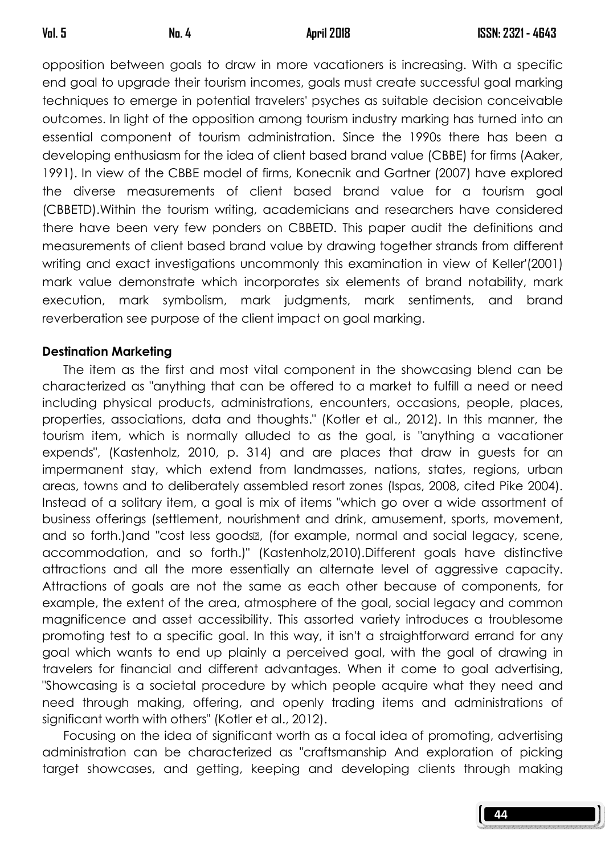opposition between goals to draw in more vacationers is increasing. With a specific end goal to upgrade their tourism incomes, goals must create successful goal marking techniques to emerge in potential travelers' psyches as suitable decision conceivable outcomes. In light of the opposition among tourism industry marking has turned into an essential component of tourism administration. Since the 1990s there has been a developing enthusiasm for the idea of client based brand value (CBBE) for firms (Aaker, 1991). In view of the CBBE model of firms, Konecnik and Gartner (2007) have explored the diverse measurements of client based brand value for a tourism goal (CBBETD).Within the tourism writing, academicians and researchers have considered there have been very few ponders on CBBETD. This paper audit the definitions and measurements of client based brand value by drawing together strands from different writing and exact investigations uncommonly this examination in view of Keller'(2001) mark value demonstrate which incorporates six elements of brand notability, mark execution, mark symbolism, mark judgments, mark sentiments, and brand reverberation see purpose of the client impact on goal marking.

# Destination Marketing

The item as the first and most vital component in the showcasing blend can be characterized as "anything that can be offered to a market to fulfill a need or need including physical products, administrations, encounters, occasions, people, places, properties, associations, data and thoughts." (Kotler et al., 2012). In this manner, the tourism item, which is normally alluded to as the goal, is "anything a vacationer expends", (Kastenholz, 2010, p. 314) and are places that draw in guests for an impermanent stay, which extend from landmasses, nations, states, regions, urban areas, towns and to deliberately assembled resort zones (Ispas, 2008, cited Pike 2004). Instead of a solitary item, a goal is mix of items "which go over a wide assortment of business offerings (settlement, nourishment and drink, amusement, sports, movement, and so forth.)and "cost less goods", (for example, normal and social legacy, scene, accommodation, and so forth.)" (Kastenholz,2010).Different goals have distinctive attractions and all the more essentially an alternate level of aggressive capacity. Attractions of goals are not the same as each other because of components, for example, the extent of the area, atmosphere of the goal, social legacy and common magnificence and asset accessibility. This assorted variety introduces a troublesome promoting test to a specific goal. In this way, it isn't a straightforward errand for any goal which wants to end up plainly a perceived goal, with the goal of drawing in travelers for financial and different advantages. When it come to goal advertising, "Showcasing is a societal procedure by which people acquire what they need and need through making, offering, and openly trading items and administrations of significant worth with others" (Kotler et al., 2012).

Focusing on the idea of significant worth as a focal idea of promoting, advertising administration can be characterized as "craftsmanship And exploration of picking target showcases, and getting, keeping and developing clients through making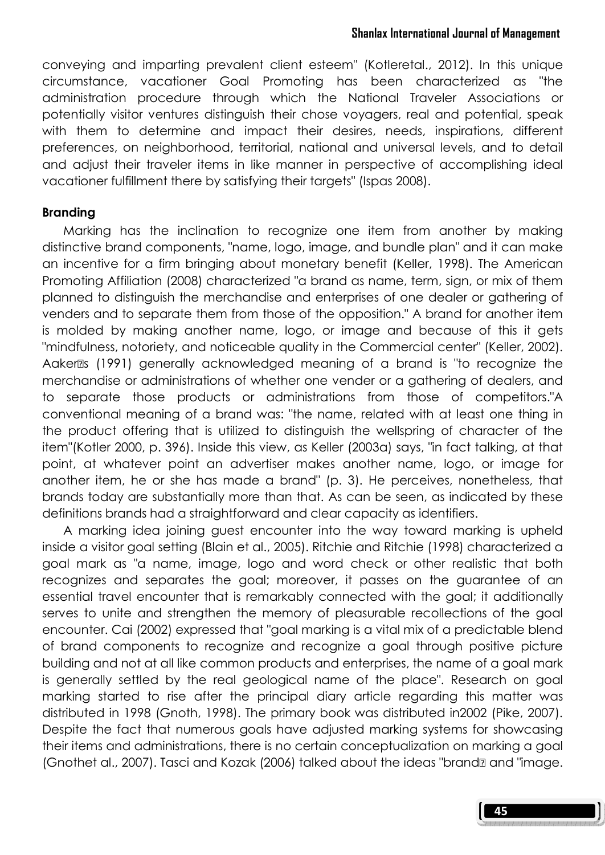conveying and imparting prevalent client esteem" (Kotleretal., 2012). In this unique circumstance, vacationer Goal Promoting has been characterized as "the administration procedure through which the National Traveler Associations or potentially visitor ventures distinguish their chose voyagers, real and potential, speak with them to determine and impact their desires, needs, inspirations, different preferences, on neighborhood, territorial, national and universal levels, and to detail and adjust their traveler items in like manner in perspective of accomplishing ideal vacationer fulfillment there by satisfying their targets" (Ispas 2008).

## Branding

Marking has the inclination to recognize one item from another by making distinctive brand components, "name, logo, image, and bundle plan" and it can make an incentive for a firm bringing about monetary benefit (Keller, 1998). The American Promoting Affiliation (2008) characterized "a brand as name, term, sign, or mix of them planned to distinguish the merchandise and enterprises of one dealer or gathering of venders and to separate them from those of the opposition." A brand for another item is molded by making another name, logo, or image and because of this it gets "mindfulness, notoriety, and noticeable quality in the Commercial center" (Keller, 2002). Aakeres (1991) generally acknowledged meaning of a brand is "to recognize the merchandise or administrations of whether one vender or a gathering of dealers, and to separate those products or administrations from those of competitors."A conventional meaning of a brand was: "the name, related with at least one thing in the product offering that is utilized to distinguish the wellspring of character of the item"(Kotler 2000, p. 396). Inside this view, as Keller (2003a) says, "in fact talking, at that point, at whatever point an advertiser makes another name, logo, or image for another item, he or she has made a brand" (p. 3). He perceives, nonetheless, that brands today are substantially more than that. As can be seen, as indicated by these definitions brands had a straightforward and clear capacity as identifiers.

A marking idea joining guest encounter into the way toward marking is upheld inside a visitor goal setting (Blain et al., 2005). Ritchie and Ritchie (1998) characterized a goal mark as "a name, image, logo and word check or other realistic that both recognizes and separates the goal; moreover, it passes on the guarantee of an essential travel encounter that is remarkably connected with the goal; it additionally serves to unite and strengthen the memory of pleasurable recollections of the goal encounter. Cai (2002) expressed that "goal marking is a vital mix of a predictable blend of brand components to recognize and recognize a goal through positive picture building and not at all like common products and enterprises, the name of a goal mark is generally settled by the real geological name of the place". Research on goal marking started to rise after the principal diary article regarding this matter was distributed in 1998 (Gnoth, 1998). The primary book was distributed in2002 (Pike, 2007). Despite the fact that numerous goals have adjusted marking systems for showcasing their items and administrations, there is no certain conceptualization on marking a goal (Gnothet al., 2007). Tasci and Kozak (2006) talked about the ideas "brand" and "image.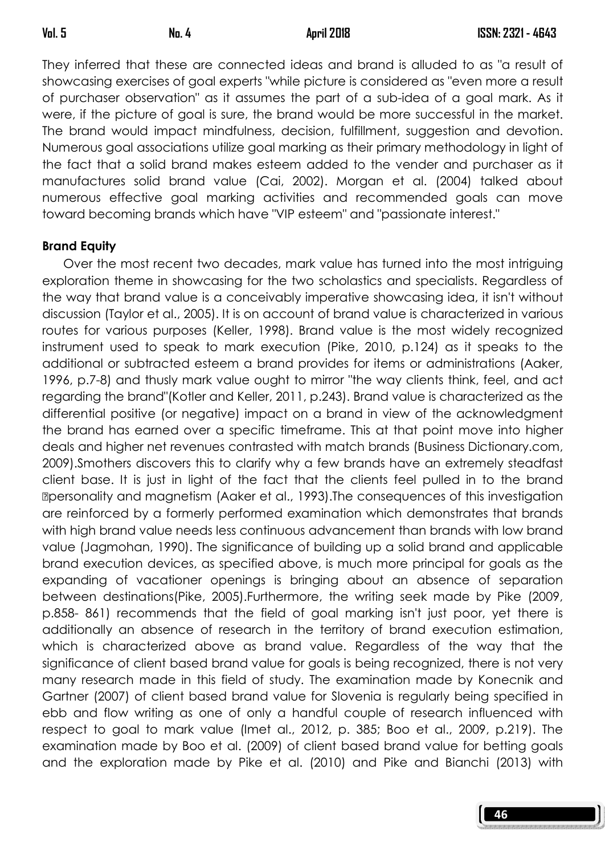They inferred that these are connected ideas and brand is alluded to as "a result of showcasing exercises of goal experts "while picture is considered as "even more a result of purchaser observation" as it assumes the part of a sub-idea of a goal mark. As it were, if the picture of goal is sure, the brand would be more successful in the market. The brand would impact mindfulness, decision, fulfillment, suggestion and devotion. Numerous goal associations utilize goal marking as their primary methodology in light of the fact that a solid brand makes esteem added to the vender and purchaser as it manufactures solid brand value (Cai, 2002). Morgan et al. (2004) talked about numerous effective goal marking activities and recommended goals can move toward becoming brands which have "VIP esteem" and "passionate interest."

# Brand Equity

Over the most recent two decades, mark value has turned into the most intriguing exploration theme in showcasing for the two scholastics and specialists. Regardless of the way that brand value is a conceivably imperative showcasing idea, it isn't without discussion (Taylor et al., 2005). It is on account of brand value is characterized in various routes for various purposes (Keller, 1998). Brand value is the most widely recognized instrument used to speak to mark execution (Pike, 2010, p.124) as it speaks to the additional or subtracted esteem a brand provides for items or administrations (Aaker, 1996, p.7-8) and thusly mark value ought to mirror "the way clients think, feel, and act regarding the brand"(Kotler and Keller, 2011, p.243). Brand value is characterized as the differential positive (or negative) impact on a brand in view of the acknowledgment the brand has earned over a specific timeframe. This at that point move into higher deals and higher net revenues contrasted with match brands (Business Dictionary.com, 2009).Smothers discovers this to clarify why a few brands have an extremely steadfast client base. It is just in light of the fact that the clients feel pulled in to the brand "personality and magnetism (Aaker et al., 1993).The consequences of this investigation are reinforced by a formerly performed examination which demonstrates that brands with high brand value needs less continuous advancement than brands with low brand value (Jagmohan, 1990). The significance of building up a solid brand and applicable brand execution devices, as specified above, is much more principal for goals as the expanding of vacationer openings is bringing about an absence of separation between destinations(Pike, 2005).Furthermore, the writing seek made by Pike (2009, p.858- 861) recommends that the field of goal marking isn't just poor, yet there is additionally an absence of research in the territory of brand execution estimation, which is characterized above as brand value. Regardless of the way that the significance of client based brand value for goals is being recognized, there is not very many research made in this field of study. The examination made by Konecnik and Gartner (2007) of client based brand value for Slovenia is regularly being specified in ebb and flow writing as one of only a handful couple of research influenced with respect to goal to mark value (Imet al., 2012, p. 385; Boo et al., 2009, p.219). The examination made by Boo et al. (2009) of client based brand value for betting goals and the exploration made by Pike et al. (2010) and Pike and Bianchi (2013) with

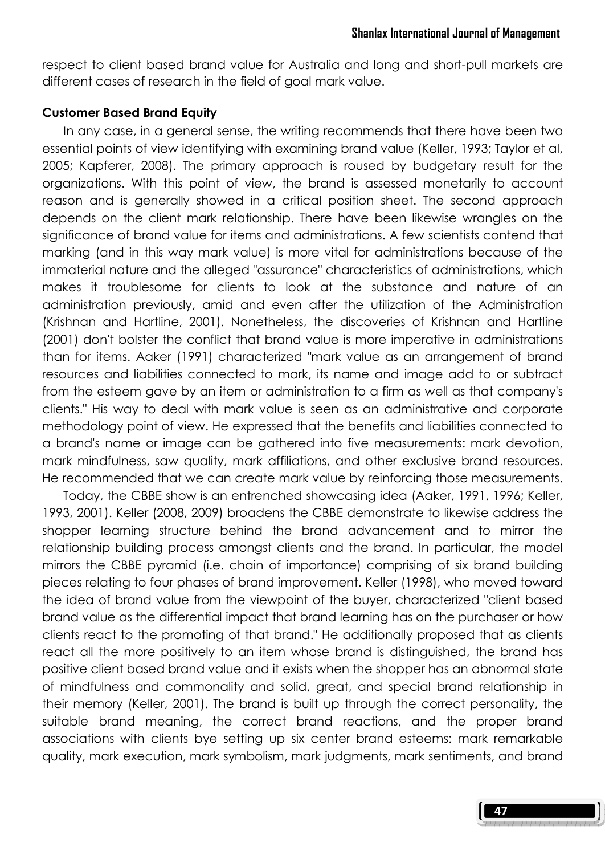respect to client based brand value for Australia and long and short-pull markets are different cases of research in the field of goal mark value.

#### Customer Based Brand Equity

In any case, in a general sense, the writing recommends that there have been two essential points of view identifying with examining brand value (Keller, 1993; Taylor et al, 2005; Kapferer, 2008). The primary approach is roused by budgetary result for the organizations. With this point of view, the brand is assessed monetarily to account reason and is generally showed in a critical position sheet. The second approach depends on the client mark relationship. There have been likewise wrangles on the significance of brand value for items and administrations. A few scientists contend that marking (and in this way mark value) is more vital for administrations because of the immaterial nature and the alleged "assurance" characteristics of administrations, which makes it troublesome for clients to look at the substance and nature of an administration previously, amid and even after the utilization of the Administration (Krishnan and Hartline, 2001). Nonetheless, the discoveries of Krishnan and Hartline (2001) don't bolster the conflict that brand value is more imperative in administrations than for items. Aaker (1991) characterized "mark value as an arrangement of brand resources and liabilities connected to mark, its name and image add to or subtract from the esteem gave by an item or administration to a firm as well as that company's clients." His way to deal with mark value is seen as an administrative and corporate methodology point of view. He expressed that the benefits and liabilities connected to a brand's name or image can be gathered into five measurements: mark devotion, mark mindfulness, saw quality, mark affiliations, and other exclusive brand resources. He recommended that we can create mark value by reinforcing those measurements.

Today, the CBBE show is an entrenched showcasing idea (Aaker, 1991, 1996; Keller, 1993, 2001). Keller (2008, 2009) broadens the CBBE demonstrate to likewise address the shopper learning structure behind the brand advancement and to mirror the relationship building process amongst clients and the brand. In particular, the model mirrors the CBBE pyramid (i.e. chain of importance) comprising of six brand building pieces relating to four phases of brand improvement. Keller (1998), who moved toward the idea of brand value from the viewpoint of the buyer, characterized "client based brand value as the differential impact that brand learning has on the purchaser or how clients react to the promoting of that brand." He additionally proposed that as clients react all the more positively to an item whose brand is distinguished, the brand has positive client based brand value and it exists when the shopper has an abnormal state of mindfulness and commonality and solid, great, and special brand relationship in their memory (Keller, 2001). The brand is built up through the correct personality, the suitable brand meaning, the correct brand reactions, and the proper brand associations with clients bye setting up six center brand esteems: mark remarkable quality, mark execution, mark symbolism, mark judgments, mark sentiments, and brand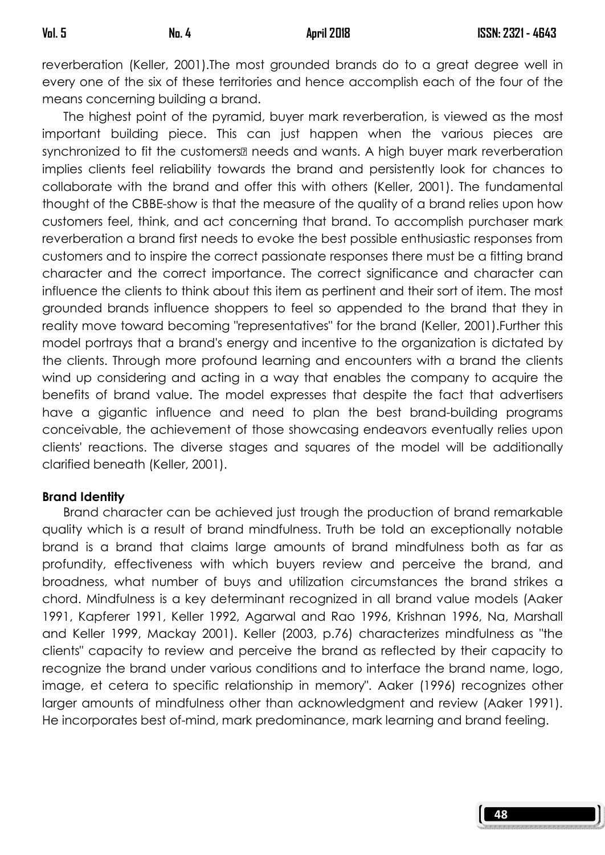reverberation (Keller, 2001).The most grounded brands do to a great degree well in every one of the six of these territories and hence accomplish each of the four of the means concerning building a brand.

The highest point of the pyramid, buyer mark reverberation, is viewed as the most important building piece. This can just happen when the various pieces are synchronized to fit the customers® needs and wants. A high buyer mark reverberation implies clients feel reliability towards the brand and persistently look for chances to collaborate with the brand and offer this with others (Keller, 2001). The fundamental thought of the CBBE-show is that the measure of the quality of a brand relies upon how customers feel, think, and act concerning that brand. To accomplish purchaser mark reverberation a brand first needs to evoke the best possible enthusiastic responses from customers and to inspire the correct passionate responses there must be a fitting brand character and the correct importance. The correct significance and character can influence the clients to think about this item as pertinent and their sort of item. The most grounded brands influence shoppers to feel so appended to the brand that they in reality move toward becoming "representatives" for the brand (Keller, 2001).Further this model portrays that a brand's energy and incentive to the organization is dictated by the clients. Through more profound learning and encounters with a brand the clients wind up considering and acting in a way that enables the company to acquire the benefits of brand value. The model expresses that despite the fact that advertisers have a gigantic influence and need to plan the best brand-building programs conceivable, the achievement of those showcasing endeavors eventually relies upon clients' reactions. The diverse stages and squares of the model will be additionally clarified beneath (Keller, 2001).

### Brand Identity

 Brand character can be achieved just trough the production of brand remarkable quality which is a result of brand mindfulness. Truth be told an exceptionally notable brand is a brand that claims large amounts of brand mindfulness both as far as profundity, effectiveness with which buyers review and perceive the brand, and broadness, what number of buys and utilization circumstances the brand strikes a chord. Mindfulness is a key determinant recognized in all brand value models (Aaker 1991, Kapferer 1991, Keller 1992, Agarwal and Rao 1996, Krishnan 1996, Na, Marshall and Keller 1999, Mackay 2001). Keller (2003, p.76) characterizes mindfulness as "the clients" capacity to review and perceive the brand as reflected by their capacity to recognize the brand under various conditions and to interface the brand name, logo, image, et cetera to specific relationship in memory". Aaker (1996) recognizes other larger amounts of mindfulness other than acknowledgment and review (Aaker 1991). He incorporates best of-mind, mark predominance, mark learning and brand feeling.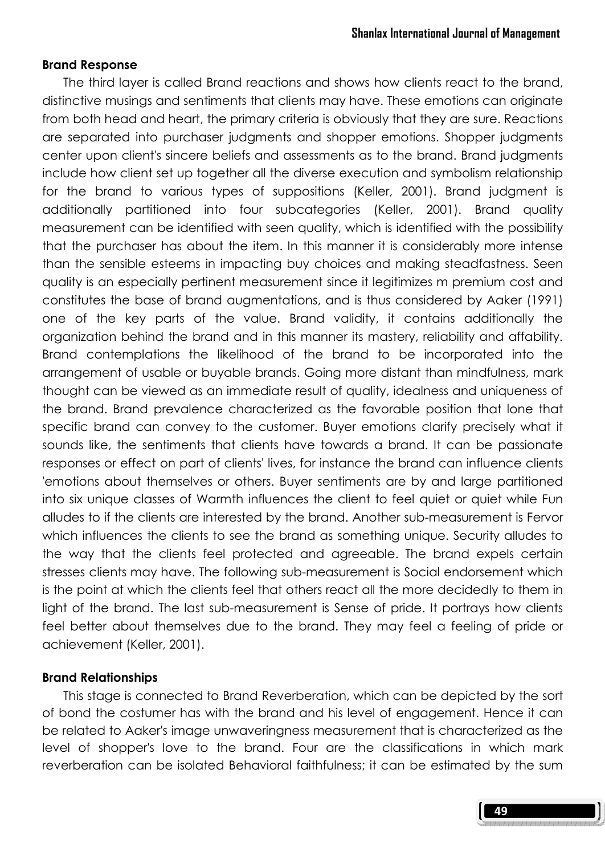### Brand Response

 The third layer is called Brand reactions and shows how clients react to the brand, distinctive musings and sentiments that clients may have. These emotions can originate from both head and heart, the primary criteria is obviously that they are sure. Reactions are separated into purchaser judgments and shopper emotions. Shopper judgments center upon client's sincere beliefs and assessments as to the brand. Brand judgments include how client set up together all the diverse execution and symbolism relationship for the brand to various types of suppositions (Keller, 2001). Brand judgment is additionally partitioned into four subcategories (Keller, 2001). Brand quality measurement can be identified with seen quality, which is identified with the possibility that the purchaser has about the item. In this manner it is considerably more intense than the sensible esteems in impacting buy choices and making steadfastness. Seen quality is an especially pertinent measurement since it legitimizes m premium cost and constitutes the base of brand augmentations, and is thus considered by Aaker (1991) one of the key parts of the value. Brand validity, it contains additionally the organization behind the brand and in this manner its mastery, reliability and affability. Brand contemplations the likelihood of the brand to be incorporated into the arrangement of usable or buyable brands. Going more distant than mindfulness, mark thought can be viewed as an immediate result of quality, idealness and uniqueness of the brand. Brand prevalence characterized as the favorable position that lone that specific brand can convey to the customer. Buyer emotions clarify precisely what it sounds like, the sentiments that clients have towards a brand. It can be passionate responses or effect on part of clients' lives, for instance the brand can influence clients 'emotions about themselves or others. Buyer sentiments are by and large partitioned into six unique classes of Warmth influences the client to feel quiet or quiet while Fun alludes to if the clients are interested by the brand. Another sub-measurement is Fervor which influences the clients to see the brand as something unique. Security alludes to the way that the clients feel protected and agreeable. The brand expels certain stresses clients may have. The following sub-measurement is Social endorsement which is the point at which the clients feel that others react all the more decidedly to them in light of the brand. The last sub-measurement is Sense of pride. It portrays how clients feel better about themselves due to the brand. They may feel a feeling of pride or achievement (Keller, 2001).

### Brand Relationships

 This stage is connected to Brand Reverberation, which can be depicted by the sort of bond the costumer has with the brand and his level of engagement. Hence it can be related to Aaker's image unwaveringness measurement that is characterized as the level of shopper's love to the brand. Four are the classifications in which mark reverberation can be isolated Behavioral faithfulness; it can be estimated by the sum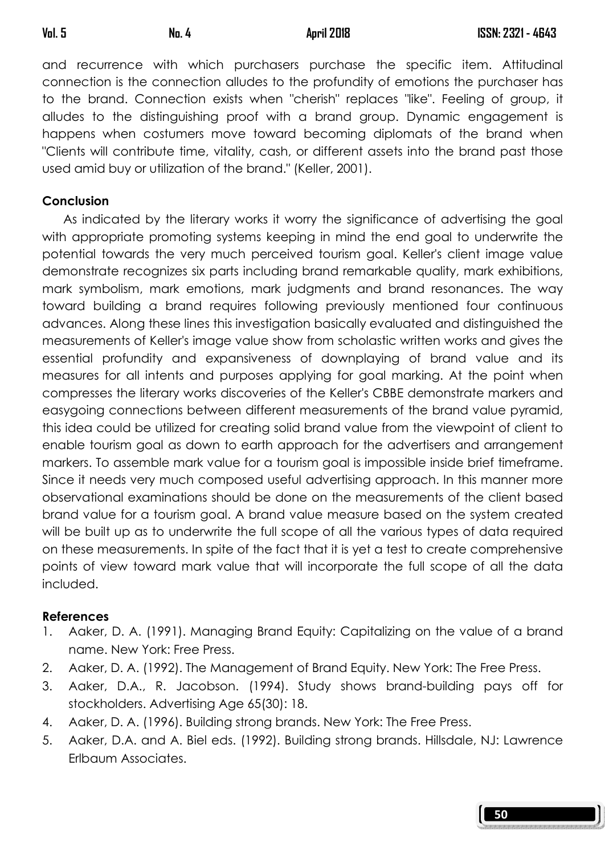and recurrence with which purchasers purchase the specific item. Attitudinal connection is the connection alludes to the profundity of emotions the purchaser has to the brand. Connection exists when "cherish" replaces "like". Feeling of group, it alludes to the distinguishing proof with a brand group. Dynamic engagement is happens when costumers move toward becoming diplomats of the brand when "Clients will contribute time, vitality, cash, or different assets into the brand past those used amid buy or utilization of the brand." (Keller, 2001).

# Conclusion

As indicated by the literary works it worry the significance of advertising the goal with appropriate promoting systems keeping in mind the end goal to underwrite the potential towards the very much perceived tourism goal. Keller's client image value demonstrate recognizes six parts including brand remarkable quality, mark exhibitions, mark symbolism, mark emotions, mark judgments and brand resonances. The way toward building a brand requires following previously mentioned four continuous advances. Along these lines this investigation basically evaluated and distinguished the measurements of Keller's image value show from scholastic written works and gives the essential profundity and expansiveness of downplaying of brand value and its measures for all intents and purposes applying for goal marking. At the point when compresses the literary works discoveries of the Keller's CBBE demonstrate markers and easygoing connections between different measurements of the brand value pyramid, this idea could be utilized for creating solid brand value from the viewpoint of client to enable tourism goal as down to earth approach for the advertisers and arrangement markers. To assemble mark value for a tourism goal is impossible inside brief timeframe. Since it needs very much composed useful advertising approach. In this manner more observational examinations should be done on the measurements of the client based brand value for a tourism goal. A brand value measure based on the system created will be built up as to underwrite the full scope of all the various types of data required on these measurements. In spite of the fact that it is yet a test to create comprehensive points of view toward mark value that will incorporate the full scope of all the data included.

# References

- 1. Aaker, D. A. (1991). Managing Brand Equity: Capitalizing on the value of a brand name. New York: Free Press.
- 2. Aaker, D. A. (1992). The Management of Brand Equity. New York: The Free Press.
- 3. Aaker, D.A., R. Jacobson. (1994). Study shows brand-building pays off for stockholders. Advertising Age 65(30): 18.
- 4. Aaker, D. A. (1996). Building strong brands. New York: The Free Press.
- 5. Aaker, D.A. and A. Biel eds. (1992). Building strong brands. Hillsdale, NJ: Lawrence Erlbaum Associates.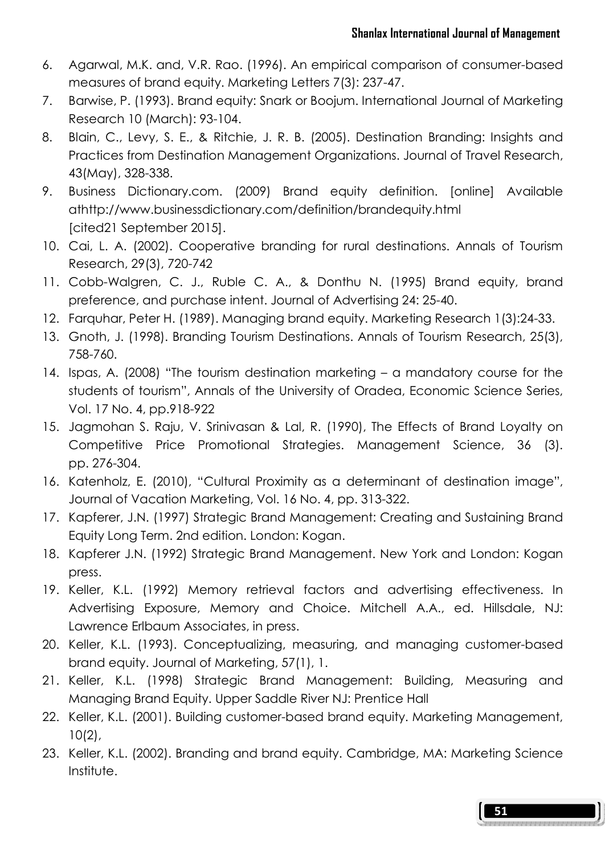- 6. Agarwal, M.K. and, V.R. Rao. (1996). An empirical comparison of consumer-based measures of brand equity. Marketing Letters 7(3): 237-47.
- 7. Barwise, P. (1993). Brand equity: Snark or Boojum. International Journal of Marketing Research 10 (March): 93-104.
- 8. Blain, C., Levy, S. E., & Ritchie, J. R. B. (2005). Destination Branding: Insights and Practices from Destination Management Organizations. Journal of Travel Research, 43(May), 328-338.
- 9. Business Dictionary.com. (2009) Brand equity definition. [online] Available athttp://www.businessdictionary.com/definition/brandequity.html [cited21 September 2015].
- 10. Cai, L. A. (2002). Cooperative branding for rural destinations. Annals of Tourism Research, 29(3), 720-742
- 11. Cobb-Walgren, C. J., Ruble C. A., & Donthu N. (1995) Brand equity, brand preference, and purchase intent. Journal of Advertising 24: 25-40.
- 12. Farquhar, Peter H. (1989). Managing brand equity. Marketing Research 1(3):24-33.
- 13. Gnoth, J. (1998). Branding Tourism Destinations. Annals of Tourism Research, 25(3), 758-760.
- 14. Ispas, A. (2008) "The tourism destination marketing a mandatory course for the students of tourism", Annals of the University of Oradea, Economic Science Series, Vol. 17 No. 4, pp.918-922
- 15. Jagmohan S. Raju, V. Srinivasan & Lal, R. (1990), The Effects of Brand Loyalty on Competitive Price Promotional Strategies. Management Science, 36 (3). pp. 276-304.
- 16. Katenholz, E. (2010), "Cultural Proximity as a determinant of destination image", Journal of Vacation Marketing, Vol. 16 No. 4, pp. 313-322.
- 17. Kapferer, J.N. (1997) Strategic Brand Management: Creating and Sustaining Brand Equity Long Term. 2nd edition. London: Kogan.
- 18. Kapferer J.N. (1992) Strategic Brand Management. New York and London: Kogan press.
- 19. Keller, K.L. (1992) Memory retrieval factors and advertising effectiveness. In Advertising Exposure, Memory and Choice. Mitchell A.A., ed. Hillsdale, NJ: Lawrence Erlbaum Associates, in press.
- 20. Keller, K.L. (1993). Conceptualizing, measuring, and managing customer-based brand equity. Journal of Marketing, 57(1), 1.
- 21. Keller, K.L. (1998) Strategic Brand Management: Building, Measuring and Managing Brand Equity. Upper Saddle River NJ: Prentice Hall
- 22. Keller, K.L. (2001). Building customer-based brand equity. Marketing Management, 10(2),
- 23. Keller, K.L. (2002). Branding and brand equity. Cambridge, MA: Marketing Science Institute.